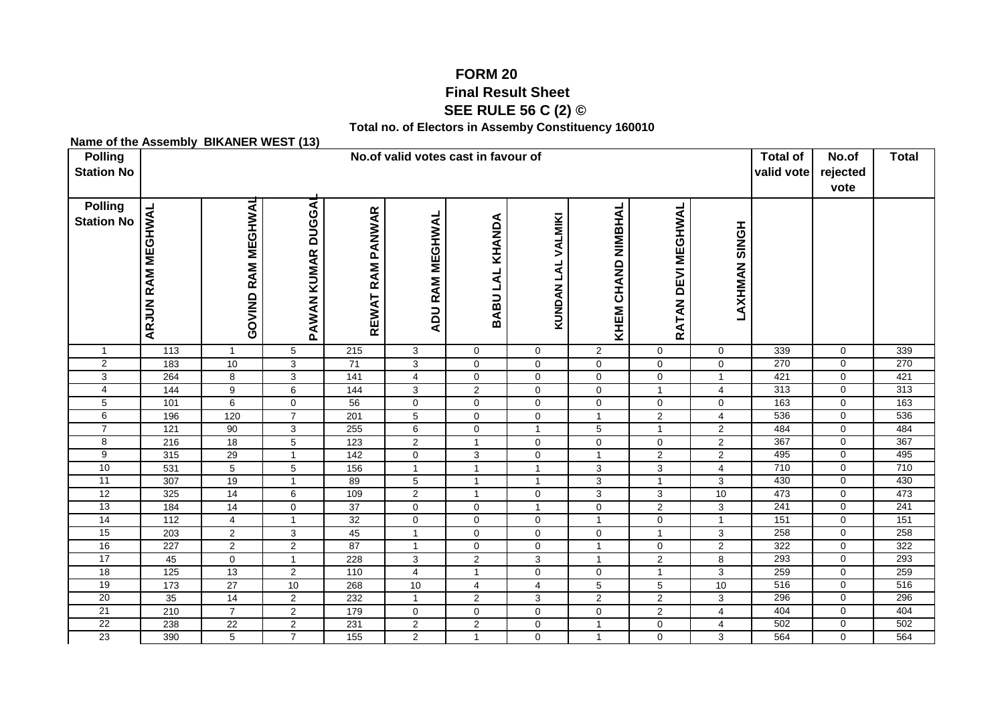## **FORM 20 Final Result Sheet SEE RULE 56 C (2) ©**

**Total no. of Electors in Assemby Constituency 160010**

## **Name of the Assembly BIKANER WEST (13)**

| <b>Polling</b><br><b>Station No</b> | No.of valid votes cast in favour of |                                  |                     |                       |                              |                            |                               |                               |                               |                                  |            | No.of<br>valid vote<br>rejected<br>vote | <b>Total</b> |
|-------------------------------------|-------------------------------------|----------------------------------|---------------------|-----------------------|------------------------------|----------------------------|-------------------------------|-------------------------------|-------------------------------|----------------------------------|------------|-----------------------------------------|--------------|
| <b>Polling</b><br><b>Station No</b> | <b>ARJUN RAM MEGHWAL</b>            | <b>GOVIND RAM MEGHWAL</b>        | PAWAN KUMAR DUGGAI  | REWAT RAM PANWAR      | <b>ADU RAM MEGHWAL</b>       | BABU LAL KHANDA            | KUNDAN LAL VALMIKI            | KHEM CHAND NIMBHAL            | RATAN DEVI MEGHWAL            | <b>LAXHMAN SINGH</b>             |            |                                         |              |
| 1                                   | 113                                 | $\mathbf{1}$                     | $\sqrt{5}$          | $\frac{1}{215}$       | 3                            | $\mathbf 0$                | $\mathbf 0$                   | $\overline{c}$                | $\mathbf 0$                   | $\mathbf 0$                      | 339        | $\mathbf 0$                             | 339          |
| $\overline{2}$                      | 183                                 | 10                               | $\overline{3}$      | $\overline{71}$       | $\overline{3}$               | $\mathsf{O}\xspace$        | $\mathsf 0$                   | $\pmb{0}$                     | $\mathsf{O}\xspace$           | $\mathsf{O}\xspace$              | 270        | $\mathbf 0$                             | 270          |
| 3                                   | 264                                 | $\overline{8}$                   | $\overline{3}$      | $\overline{141}$      | $\overline{4}$               | $\mathbf 0$                | $\mathsf 0$                   | $\mathbf 0$                   | $\mathsf{O}\xspace$           | $\mathbf{1}$                     | 421        | $\mathbf 0$                             | 421          |
| $\overline{4}$                      | 144                                 | $\overline{9}$                   | 6                   | 144                   | $\mathbf{3}$                 | $\overline{2}$             | $\mathbf 0$                   | $\mathbf 0$                   | 1                             | 4                                | 313        | $\mathbf 0$                             | 313          |
| 5                                   | 101                                 | $\,6\,$                          | $\mathbf 0$         | 56                    | $\pmb{0}$                    | $\mathbf 0$                | $\mathbf 0$                   | $\mathbf 0$                   | 0                             | $\mathbf 0$                      | 163        | $\mathbf 0$                             | 163          |
| 6                                   | 196                                 | 120                              | $\overline{7}$      | 201                   | $\overline{5}$               | $\mathbf 0$                | $\mathbf 0$                   | $\mathbf{1}$                  | $\overline{c}$                | $\overline{4}$                   | 536        | $\mathbf 0$                             | 536          |
| $\overline{7}$                      | $\overline{121}$                    | 90                               | 3                   | 255                   | $6\overline{6}$              | $\mathbf 0$                | $\mathbf{1}$                  | $\overline{5}$                | $\mathbf{1}$                  | $\overline{2}$                   | 484        | $\mathbf 0$                             | 484          |
| 8                                   | 216                                 | 18                               | $\overline{5}$      | 123                   | $\overline{2}$               | $\mathbf{1}$               | $\mathbf 0$                   | $\mathbf 0$                   | $\mathbf 0$                   | $\overline{2}$                   | 367        | $\mathbf 0$                             | 367          |
| $\overline{9}$                      | 315                                 | 29                               | 1                   | 142                   | $\mathbf 0$                  | 3                          | $\mathbf 0$                   | $\mathbf{1}$                  | $\overline{2}$                | $\overline{2}$                   | 495        | $\mathbf 0$                             | 495          |
| 10                                  | 531                                 | $\overline{5}$                   | 5                   | 156                   | $\mathbf{1}$                 | $\mathbf{1}$               | $\overline{1}$                | 3                             | $\mathbf{3}$                  | $\overline{4}$                   | 710        | $\mathbf 0$                             | 710          |
| 11                                  | 307                                 | 19                               | $\mathbf{1}$        | 89                    | $\overline{5}$               | $\mathbf{1}$               | $\mathbf{1}$                  | 3                             | $\mathbf{1}$                  | $\mathbf{3}$                     | 430        | $\mathbf 0$                             | 430          |
| 12                                  | 325                                 | 14                               | 6                   | 109                   | $\overline{2}$               | $\mathbf{1}$               | $\mathsf 0$                   | 3                             | 3                             | 10                               | 473        | $\mathbf 0$                             | 473          |
| 13<br>14                            | 184                                 | 14                               | $\mathbf 0$         | $\overline{37}$<br>32 | $\mathbf 0$                  | $\mathbf 0$                | $\mathbf{1}$                  | $\mathbf 0$<br>$\overline{1}$ | $\overline{2}$                | 3                                | 241<br>151 | $\mathbf 0$                             | 241<br>151   |
| 15                                  | $\frac{112}{112}$                   | $\overline{4}$                   |                     |                       | $\mathbf 0$                  | $\mathbf 0$<br>$\mathbf 0$ | $\mathbf 0$                   |                               | $\mathbf 0$<br>$\overline{1}$ | $\mathbf{1}$                     | 258        | $\mathbf 0$<br>$\mathbf 0$              | 258          |
| 16                                  | 203<br>227                          | $\overline{2}$<br>$\overline{2}$ | 3<br>$\overline{2}$ | 45<br>87              | $\mathbf{1}$<br>$\mathbf{1}$ | $\mathbf 0$                | $\mathbf 0$<br>$\mathbf 0$    | $\mathbf 0$<br>$\overline{1}$ | $\mathbf 0$                   | $\overline{3}$<br>$\overline{2}$ | 322        | $\mathbf 0$                             | 322          |
| $\overline{17}$                     | 45                                  | $\overline{0}$                   | $\mathbf{1}$        | 228                   | $\overline{3}$               | $\overline{2}$             | $\sqrt{3}$                    | $\overline{1}$                | $\overline{2}$                | 8                                | 293        | $\mathbf 0$                             | 293          |
| 18                                  | $\overline{125}$                    | 13                               | 2                   | 110                   | $\overline{4}$               | $\mathbf{1}$               |                               | $\mathbf 0$                   | $\mathbf{1}$                  | 3                                | 259        | $\mathbf 0$                             | 259          |
| 19                                  | $\overline{173}$                    | $\overline{27}$                  | 10                  | 268                   | 10                           | $\overline{4}$             | $\mathbf 0$<br>$\overline{4}$ | 5                             | 5                             | 10                               | 516        | $\mathbf 0$                             | 516          |
| 20                                  | 35                                  | 14                               | $\overline{2}$      | 232                   | $\mathbf{1}$                 | 2                          | 3                             | $\overline{2}$                | $\overline{2}$                | 3                                | 296        | $\mathbf 0$                             | 296          |
| 21                                  | 210                                 | $\overline{7}$                   | $\overline{2}$      | 179                   | $\mathbf 0$                  | $\mathbf 0$                | $\mathbf 0$                   | $\mathbf 0$                   | $\overline{2}$                | $\overline{4}$                   | 404        | $\mathbf 0$                             | 404          |
| $\overline{22}$                     | 238                                 | 22                               | $\overline{2}$      | 231                   | $\overline{2}$               | $\overline{2}$             | $\mathbf 0$                   | $\overline{1}$                | $\mathbf 0$                   | $\overline{4}$                   | 502        | $\mathbf 0$                             | 502          |
| 23                                  | 390                                 | 5                                | $\overline{7}$      | 155                   | $\overline{2}$               | $\mathbf{1}$               | $\mathbf 0$                   | $\overline{1}$                | $\mathbf 0$                   | 3                                | 564        | $\mathbf 0$                             | 564          |
|                                     |                                     |                                  |                     |                       |                              |                            |                               |                               |                               |                                  |            |                                         |              |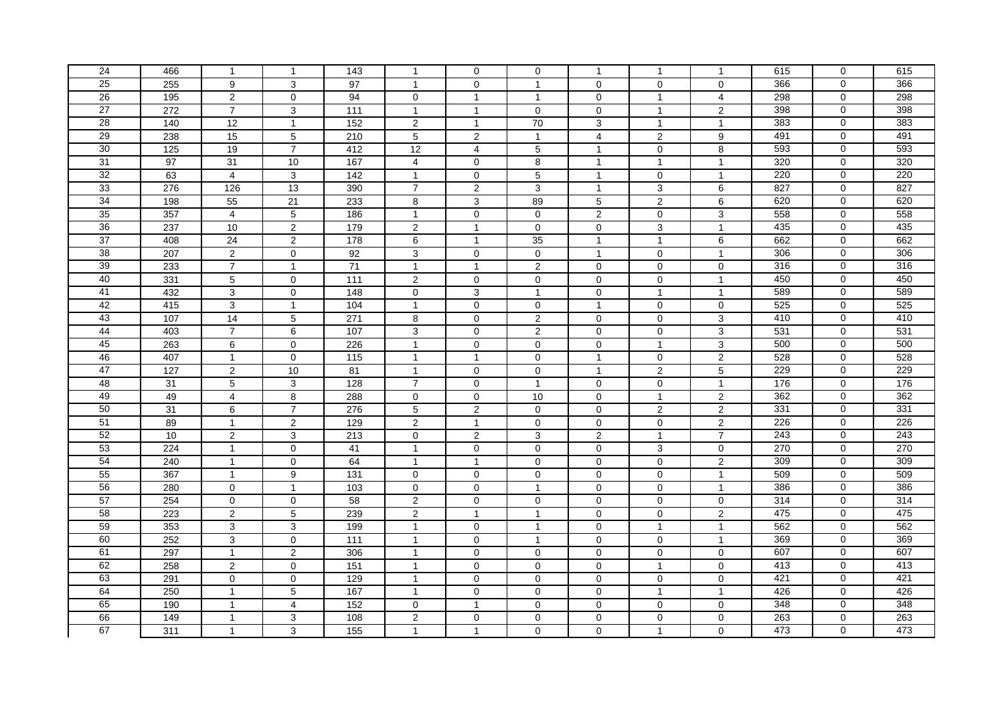| 24              |     |                         |                |                 |                     |                         |                |                |                |                         | 615              | $\mathbf 0$    | 615 |
|-----------------|-----|-------------------------|----------------|-----------------|---------------------|-------------------------|----------------|----------------|----------------|-------------------------|------------------|----------------|-----|
|                 | 466 | $\mathbf{1}$            | $\mathbf{1}$   | 143             | $\mathbf{1}$        | $\mathbf 0$             | 0              | -1             | $\mathbf{1}$   | $\mathbf{1}$            |                  |                |     |
| 25              | 255 | 9                       | 3              | 97              | $\overline{1}$      | $\mathbf 0$             | $\overline{1}$ | 0              | 0              | $\mathbf 0$             | 366              | $\Omega$       | 366 |
| 26              | 195 | $\overline{2}$          | $\mathbf 0$    | 94              | $\mathbf 0$         | $\mathbf{1}$            | $\overline{1}$ | $\mathbf 0$    | $\overline{1}$ | $\overline{4}$          | 298              | $\mathbf 0$    | 298 |
| 27              | 272 | $\overline{7}$          | 3              | 111             | $\mathbf{1}$        | $\mathbf{1}$            | $\mathbf 0$    | $\mathbf 0$    | $\mathbf{1}$   | 2                       | 398              | $\mathbf 0$    | 398 |
| 28              | 140 | 12                      | $\overline{1}$ | 152             | $\overline{2}$      | $\mathbf{1}$            | 70             | 3              | $\mathbf{1}$   | $\mathbf{1}$            | 383              | $\mathbf 0$    | 383 |
| 29              | 238 | 15                      | $\sqrt{5}$     | 210             | 5                   | 2                       | $\overline{1}$ | $\overline{4}$ | 2              | 9                       | 491              | $\Omega$       | 491 |
| 30              | 125 | 19                      | $\overline{7}$ | 412             | 12                  | 4                       | $\,$ 5 $\,$    | $\overline{1}$ | 0              | 8                       | 593              | $\mathbf 0$    | 593 |
| 31              | 97  | 31                      | 10             | 167             | $\overline{4}$      | $\mathbf 0$             | 8              | $\overline{1}$ | $\mathbf{1}$   | $\mathbf{1}$            | 320              | $\overline{0}$ | 320 |
| 32              | 63  | $\overline{\mathbf{4}}$ | $\mathbf{3}$   | 142             | $\mathbf{1}$        | $\mathsf{O}\xspace$     | $\overline{5}$ | $\overline{1}$ | $\pmb{0}$      | $\mathbf{1}$            | $\overline{220}$ | $\mathbf 0$    | 220 |
| 33              | 276 | 126                     | 13             | 390             | $\overline{7}$      | $\overline{\mathbf{c}}$ | 3              | $\overline{1}$ | 3              | 6                       | 827              | $\mathbf 0$    | 827 |
| 34              | 198 | 55                      | 21             | 233             | 8                   | 3                       | 89             | 5              | $\overline{2}$ | 6                       | 620              | $\mathbf 0$    | 620 |
| 35              | 357 | $\overline{4}$          | $\overline{5}$ | 186             | $\mathbf{1}$        | $\mathbf 0$             | $\mathbf 0$    | $\overline{2}$ | $\mathbf 0$    | 3                       | 558              | 0              | 558 |
| 36              | 237 | $10$                    | $\mathbf 2$    | 179             | $\overline{c}$      | $\mathbf{1}$            | $\mathbf 0$    | $\mathbf 0$    | 3              | $\mathbf{1}$            | 435              | 0              | 435 |
| 37              | 408 | 24                      | $\overline{2}$ | 178             | 6                   | $\mathbf{1}$            | 35             | $\overline{1}$ | $\mathbf{1}$   | 6                       | 662              | $\Omega$       | 662 |
| 38              | 207 | $\overline{2}$          | $\mathbf 0$    | 92              | $\overline{3}$      | $\mathbf 0$             | $\mathbf 0$    | $\overline{1}$ | $\mathbf 0$    | $\mathbf{1}$            | 306              | $\overline{0}$ | 306 |
| 39              | 233 | $\overline{7}$          | $\mathbf{1}$   | 71              | $\mathbf{1}$        | $\mathbf{1}$            | $\overline{2}$ | $\mathbf 0$    | 0              | 0                       | 316              | $\mathbf 0$    | 316 |
| 40              | 331 | $\,$ 5 $\,$             | $\mathbf 0$    | 111             | $\overline{2}$      | $\mathbf 0$             | $\mathbf 0$    | 0              | 0              | $\mathbf{1}$            | 450              | $\mathbf 0$    | 450 |
| 41              | 432 | $\mathbf{3}$            | $\mathbf 0$    | 148             | $\mathbf 0$         | 3                       | $\overline{1}$ | 0              | $\overline{1}$ | $\mathbf{1}$            | 589              | $\Omega$       | 589 |
| 42              | 415 | $\mathbf{3}$            | $\mathbf{1}$   | 104             | $\mathbf{1}$        | $\mathbf 0$             | $\Omega$       | $\overline{1}$ | $\Omega$       | $\mathbf 0$             | 525              | $\mathbf 0$    | 525 |
| 43              | 107 | 14                      | $\overline{5}$ | 271             | 8                   | $\mathbf 0$             | $\overline{2}$ | $\mathbf 0$    | 0              | 3                       | 410              | $\mathbf 0$    | 410 |
| 44              | 403 | $\overline{7}$          | 6              | 107             | 3                   | $\mathbf 0$             | $\overline{2}$ | $\Omega$       | 0              | 3                       | $\overline{531}$ | $\Omega$       | 531 |
| 45              | 263 | $\,6\,$                 | $\mathbf 0$    | 226             | $\mathbf{1}$        | $\mathsf{O}\xspace$     | $\mathbf 0$    | $\mathbf 0$    | $\overline{1}$ | 3                       | 500              | $\mathbf 0$    | 500 |
| 46              | 407 | $\mathbf{1}$            | $\mathbf 0$    | 115             | $\mathbf{1}$        | $\mathbf{1}$            | $\mathbf 0$    | $\overline{1}$ | $\mathbf 0$    | $\boldsymbol{2}$        | 528              | $\mathbf 0$    | 528 |
| 47              | 127 | $\overline{2}$          | 10             | 81              | $\mathbf{1}$        | $\mathbf 0$             | $\mathbf 0$    | $\overline{1}$ | $\overline{2}$ | $\overline{5}$          | 229              | $\overline{0}$ | 229 |
| 48              | 31  | 5                       | 3              | 128             | $\overline{7}$      | $\mathbf 0$             | $\overline{1}$ | $\mathbf 0$    | 0              | $\mathbf{1}$            | 176              | $\mathbf 0$    | 176 |
| 49              | 49  | $\overline{4}$          | 8              | 288             | 0                   | $\mathbf 0$             | 10             | $\mathbf 0$    | $\mathbf{1}$   | $\overline{\mathbf{c}}$ | 362              | $\mathbf 0$    | 362 |
| 50              | 31  | 6                       | $\overline{7}$ | 276             | 5                   | 2                       | $\Omega$       | $\Omega$       | $\overline{2}$ | $\overline{2}$          | 331              | $\mathbf 0$    | 331 |
| $\overline{51}$ | 89  | $\mathbf{1}$            | $\sqrt{2}$     | 129             | $\overline{c}$      | $\mathbf{1}$            | $\mathbf 0$    | $\pmb{0}$      | $\mathbf 0$    | $\overline{c}$          | 226              | 0              | 226 |
| 52              | 10  | $\sqrt{2}$              | $\sqrt{3}$     | 213             | $\mathsf{O}\xspace$ | $\overline{c}$          | 3              | $\overline{2}$ | $\mathbf{1}$   | $\overline{7}$          | 243              | $\Omega$       | 243 |
| 53              | 224 | $\mathbf{1}$            | $\mathbf 0$    | 41              | $\mathbf{1}$        | $\mathbf 0$             | $\mathbf 0$    | $\mathbf 0$    | 3              | $\mathbf 0$             | 270              | $\mathbf 0$    | 270 |
| 54              | 240 | $\mathbf{1}$            | $\mathbf 0$    | 64              | $\overline{1}$      | $\overline{1}$          | $\mathbf 0$    | $\mathbf 0$    | $\overline{0}$ | $\overline{2}$          | 309              | $\overline{0}$ | 309 |
| 55              | 367 | $\mathbf{1}$            | 9              | 131             | 0                   | $\mathbf 0$             | $\mathbf 0$    | $\mathbf 0$    | 0              | $\mathbf{1}$            | 509              | $\mathbf 0$    | 509 |
| 56              | 280 | $\mathbf 0$             | $\mathbf{1}$   | 103             | $\mathbf 0$         | $\mathbf 0$             | $\overline{1}$ | $\mathbf 0$    | 0              | $\mathbf{1}$            | 386              | $\mathbf 0$    | 386 |
| 57              | 254 | $\mathbf 0$             | $\mathbf 0$    | 58              | $\overline{2}$      | $\mathbf 0$             | $\mathbf 0$    | 0              | $\mathbf 0$    | $\mathbf 0$             | 314              | $\mathbf 0$    | 314 |
| 58              | 223 | $\overline{2}$          | $\sqrt{5}$     | 239             | $\overline{c}$      | $\mathbf{1}$            | $\overline{1}$ | $\Omega$       | $\Omega$       | $\overline{c}$          | 475              | $\mathbf{0}$   | 475 |
| 59              | 353 | $\mathbf{3}$            | 3              | 199             | $\mathbf{1}$        | $\mathbf 0$             | $\overline{1}$ | 0              | $\mathbf{1}$   | $\mathbf{1}$            | 562              | $\mathbf 0$    | 562 |
| 60              | 252 | $\mathbf{3}$            | $\mathbf 0$    | 111             | $\overline{1}$      | $\mathbf 0$             | $\overline{1}$ | 0              | 0              | $\mathbf{1}$            | 369              | $\mathbf 0$    | 369 |
| 61              | 297 | $\mathbf{1}$            | $\overline{2}$ | 306             | $\mathbf{1}$        | $\mathsf{O}\xspace$     | $\mathbf 0$    | $\mathbf{0}$   | 0              | $\mathsf{O}\xspace$     | 607              | $\mathbf 0$    | 607 |
| 62              | 258 | 2                       | $\mathbf 0$    | 151             | $\mathbf{1}$        | $\mathbf 0$             | $\mathbf 0$    | $\mathbf 0$    | $\mathbf{1}$   | $\mathbf 0$             | 413              | $\mathbf 0$    | 413 |
| 63              | 291 | $\mathbf 0$             | $\mathbf 0$    | 129             | $\overline{1}$      | $\mathbf 0$             | $\mathbf 0$    | $\mathbf 0$    | 0              | $\mathbf 0$             | 421              | $\mathbf 0$    | 421 |
| 64              | 250 | $\mathbf{1}$            | 5              | 167             | $\mathbf{1}$        | $\mathbf 0$             | $\mathbf 0$    | 0              | $\overline{1}$ | $\mathbf{1}$            | 426              | $\mathbf 0$    | 426 |
| 65              | 190 | $\mathbf{1}$            | 4              | 152             | 0                   | $\mathbf{1}$            | $\mathbf 0$    | $\mathbf 0$    | 0              | 0                       | 348              | $\mathbf 0$    | 348 |
| 66              | 149 | $\mathbf{1}$            | 3              | 108             | $\overline{c}$      | $\mathbf 0$             | $\Omega$       | $\Omega$       | 0              | 0                       | 263              | $\mathbf 0$    | 263 |
| 67              | 311 | $\mathbf{1}$            | $\mathbf{3}$   | $\frac{155}{ }$ | $\mathbf{1}$        | $\mathbf{1}$            | $\mathbf 0$    | $\overline{0}$ | $\mathbf{1}$   | 0                       | 473              | 0              | 473 |
|                 |     |                         |                |                 |                     |                         |                |                |                |                         |                  |                |     |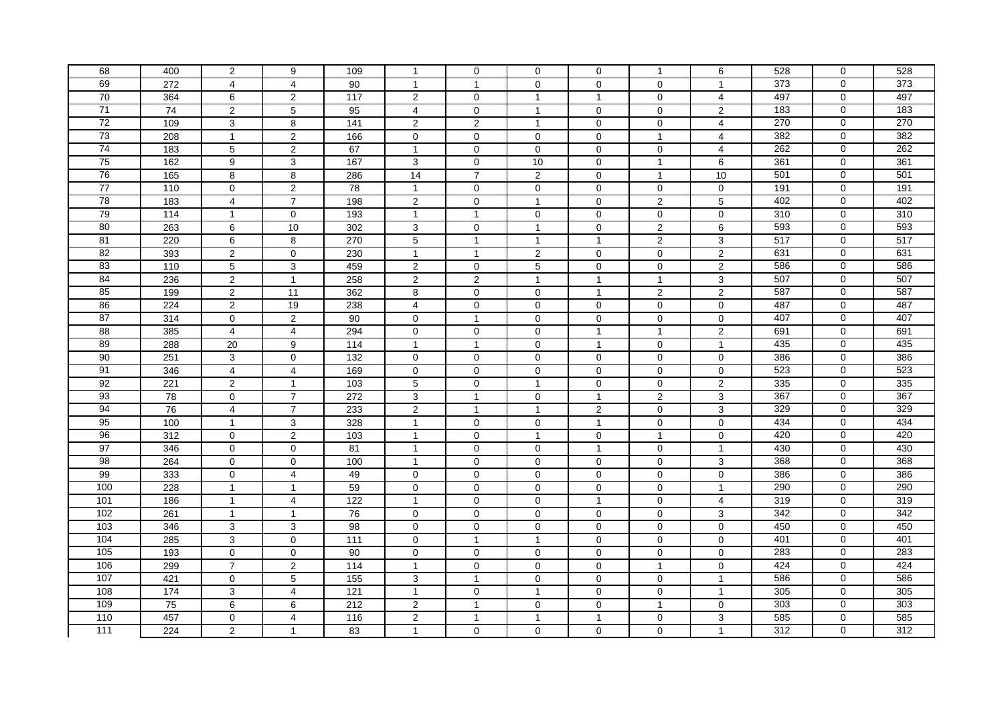| 68               | 400 | $\overline{2}$          | 9                   | 109               | $\mathbf{1}$            | $\mathbf 0$    | 0              | 0                       | $\mathbf{1}$            | 6                   | 528 | $\mathbf 0$    | 528 |
|------------------|-----|-------------------------|---------------------|-------------------|-------------------------|----------------|----------------|-------------------------|-------------------------|---------------------|-----|----------------|-----|
| 69               | 272 | $\overline{4}$          | $\overline{4}$      | 90                | $\overline{1}$          | $\overline{1}$ | $\mathbf 0$    | $\mathbf 0$             | $\mathbf 0$             | $\overline{1}$      | 373 | $\Omega$       | 373 |
| 70               | 364 | 6                       | 2                   | $\frac{117}{117}$ | $\overline{2}$          | $\mathbf 0$    | $\overline{1}$ | $\overline{1}$          | 0                       | $\overline{4}$      | 497 | $\mathbf 0$    | 497 |
| 71               | 74  | 2                       | 5                   | 95                | 4                       | $\mathbf 0$    | $\overline{1}$ | $\mathbf 0$             | 0                       | 2                   | 183 | $\mathbf 0$    | 183 |
| $\overline{72}$  | 109 | $\mathbf{3}$            | 8                   | 141               | $\overline{2}$          | 2              | $\overline{1}$ | $\mathbf 0$             | 0                       | $\overline{4}$      | 270 | $\mathbf 0$    | 270 |
| 73               | 208 | $\mathbf{1}$            | $\overline{2}$      | 166               | $\mathbf 0$             | $\mathbf 0$    | $\Omega$       | $\mathbf 0$             | $\overline{1}$          | $\overline{4}$      | 382 | $\Omega$       | 382 |
| 74               | 183 | $\,$ 5 $\,$             | $\overline{2}$      | 67                | $\mathbf{1}$            | $\mathbf 0$    | $\mathbf 0$    | $\mathbf 0$             | $\mathbf 0$             | 4                   | 262 | $\mathbf 0$    | 262 |
| 75               | 162 | $\boldsymbol{9}$        | $\mathbf{3}$        | 167               | 3                       | $\pmb{0}$      | 10             | $\mathbf 0$             | $\mathbf{1}$            | 6                   | 361 | $\overline{0}$ | 361 |
| 76               | 165 | $\bf8$                  | 8                   | 286               | 14                      | $\overline{7}$ | $\overline{2}$ | $\mathbf 0$             | $\overline{1}$          | 10                  | 501 | $\mathbf 0$    | 501 |
| 77               | 110 | $\mathbf 0$             | $\overline{c}$      | 78                | $\mathbf{1}$            | $\mathbf 0$    | 0              | 0                       | 0                       | 0                   | 191 | $\mathbf 0$    | 191 |
| 78               | 183 | $\overline{4}$          | $\overline{7}$      | 198               | $\overline{2}$          | $\mathbf 0$    | $\mathbf{1}$   | $\Omega$                | $\overline{2}$          | 5                   | 402 | $\mathbf 0$    | 402 |
| 79               | 114 | $\mathbf{1}$            | $\mathbf 0$         | 193               | $\mathbf{1}$            | $\mathbf{1}$   | $\mathbf 0$    | $\mathbf 0$             | $\mathbf 0$             | $\mathbf 0$         | 310 | $\mathbf 0$    | 310 |
| 80               | 263 | 6                       | $10$                | 302               | 3                       | $\mathbf 0$    | $\overline{1}$ | $\mathbf 0$             | $\overline{\mathbf{c}}$ | 6                   | 593 | 0              | 593 |
| 81               | 220 | $\,6\,$                 | 8                   | 270               | 5                       | $\mathbf{1}$   | $\overline{1}$ | $\overline{1}$          | $\mathbf 2$             | 3                   | 517 | $\Omega$       | 517 |
| 82               | 393 | $\overline{2}$          | $\mathbf 0$         | 230               | $\mathbf{1}$            | $\mathbf{1}$   | $\overline{2}$ | 0                       | $\mathbf 0$             | $\overline{2}$      | 631 | $\overline{0}$ | 631 |
| 83               | 110 | $\overline{5}$          | $\mathbf{3}$        | 459               | $\overline{2}$          | $\mathbf 0$    | $\overline{5}$ | $\mathbf 0$             | 0                       | $\overline{2}$      | 586 | $\mathbf 0$    | 586 |
| 84               | 236 | $\overline{c}$          | $\mathbf{1}$        | 258               | $\overline{2}$          | 2              | $\overline{1}$ | -1                      | $\mathbf{1}$            | 3                   | 507 | $\mathbf 0$    | 507 |
| 85               | 199 | $\overline{2}$          | 11                  | 362               | 8                       | $\mathbf 0$    | $\mathbf 0$    | $\overline{1}$          | $\overline{2}$          | $\overline{2}$      | 587 | $\Omega$       | 587 |
| 86               | 224 | $\overline{2}$          | 19                  | 238               | $\overline{4}$          | $\mathbf 0$    | $\Omega$       | $\Omega$                | 0                       | $\mathbf 0$         | 487 | $\mathbf 0$    | 487 |
| 87               | 314 | $\mathbf 0$             | $\overline{2}$      | 90                | 0                       | $\mathbf{1}$   | $\mathbf 0$    | $\mathbf 0$             | 0                       | $\mathbf 0$         | 407 | $\mathbf 0$    | 407 |
| 88               | 385 | $\overline{\mathbf{4}}$ | $\overline{4}$      | 294               | $\mathbf 0$             | $\mathbf 0$    | $\mathbf 0$    | $\overline{1}$          | $\mathbf{1}$            | $\overline{c}$      | 691 | $\Omega$       | 691 |
| 89               | 288 | $\overline{20}$         | 9                   | $\frac{114}{114}$ | $\mathbf{1}$            | $\mathbf{1}$   | $\mathbf 0$    | $\overline{1}$          | $\mathbf 0$             | $\mathbf{1}$        | 435 | $\mathbf 0$    | 435 |
| 90               | 251 | 3                       | $\mathbf 0$         | 132               | $\mathbf 0$             | $\mathbf 0$    | $\mathbf 0$    | $\mathbf 0$             | $\mathbf 0$             | $\mathbf 0$         | 386 | $\mathbf 0$    | 386 |
| 91               | 346 | $\overline{4}$          | $\overline{4}$      | 169               | $\mathbf 0$             | $\mathbf 0$    | $\mathbf 0$    | $\mathbf 0$             | 0                       | 0                   | 523 | $\overline{0}$ | 523 |
| 92               | 221 | 2                       | $\mathbf{1}$        | 103               | 5                       | $\mathbf 0$    | $\overline{1}$ | 0                       | 0                       | $\overline{2}$      | 335 | $\mathbf 0$    | 335 |
| 93               | 78  | $\mathbf 0$             | $\overline{7}$      | 272               | 3                       | $\mathbf{1}$   | $\mathbf 0$    | $\overline{1}$          | 2                       | 3                   | 367 | $\mathbf 0$    | 367 |
| 94               | 76  | $\overline{4}$          | $\overline{7}$      | 233               | $\overline{2}$          | $\overline{1}$ | $\overline{1}$ | $\overline{2}$          | 0                       | 3                   | 329 | $\mathbf 0$    | 329 |
| 95               | 100 | $\mathbf{1}$            | $\sqrt{3}$          | 328               | $\mathbf{1}$            | $\mathbf 0$    | $\mathbf 0$    | $\overline{1}$          | $\mathbf 0$             | $\pmb{0}$           | 434 | $\mathbf 0$    | 434 |
| 96               | 312 | $\mathbf 0$             | $\mathbf 2$         | 103               | $\mathbf{1}$            | $\mathbf 0$    | $\overline{1}$ | 0                       | $\mathbf{1}$            | 0                   | 420 | $\mathbf 0$    | 420 |
| 97               | 346 | $\pmb{0}$               | $\mathbf 0$         | 81                | $\mathbf{1}$            | $\mathbf 0$    | $\mathbf 0$    | $\overline{1}$          | $\mathbf 0$             | $\mathbf{1}$        | 430 | $\mathbf 0$    | 430 |
| $\overline{98}$  | 264 | $\mathbf{0}$            | $\mathbf 0$         | 100               | $\overline{1}$          | $\mathbf 0$    | $\mathbf 0$    | $\mathbf 0$             | $\overline{0}$          | 3                   | 368 | $\overline{0}$ | 368 |
| 99               | 333 | $\mathbf 0$             | $\overline{4}$      | 49                | $\mathbf 0$             | $\mathbf 0$    | 0              | $\mathbf 0$             | 0                       | 0                   | 386 | $\mathbf 0$    | 386 |
| 100              | 228 | $\mathbf{1}$            | $\mathbf{1}$        | 59                | $\mathbf 0$             | $\mathbf 0$    | $\mathbf 0$    | $\mathbf 0$             | 0                       | $\mathbf{1}$        | 290 | $\mathbf 0$    | 290 |
| 101              | 186 | $\overline{1}$          | 4                   | 122               | $\mathbf{1}$            | $\mathbf 0$    | $\mathbf 0$    | $\overline{1}$          | $\mathbf 0$             | 4                   | 319 | $\mathbf 0$    | 319 |
| 102              | 261 | $\mathbf{1}$            | $\mathbf{1}$        | 76                | $\mathbf 0$             | $\mathbf 0$    | $\Omega$       | $\Omega$                | $\Omega$                | 3                   | 342 | $\mathbf 0$    | 342 |
| 103              | 346 | 3                       | 3                   | 98                | $\mathsf 0$             | $\mathbf 0$    | 0              | 0                       | 0                       | 0                   | 450 | $\mathbf 0$    | 450 |
| 104              | 285 | $\mathbf{3}$            | $\mathbf 0$         | $\frac{111}{111}$ | $\mathsf{O}\xspace$     | $\overline{1}$ | $\overline{1}$ | $\mathbf 0$             | $\mathbf 0$             | 0                   | 401 | $\mathbf 0$    | 401 |
| 105              | 193 | $\pmb{0}$               | $\mathsf{O}\xspace$ | 90                | $\mathsf{O}\xspace$     | $\mathbf{0}$   | $\mathbf 0$    | $\mathbf{0}$            | 0                       | $\mathsf{O}\xspace$ | 283 | $\mathbf 0$    | 283 |
| 106              | 299 | $\overline{7}$          | 2                   | 114               | $\mathbf{1}$            | $\mathbf 0$    | $\mathbf 0$    | $\mathbf 0$             | $\mathbf{1}$            | $\mathbf 0$         | 424 | $\mathbf 0$    | 424 |
| 107              | 421 | $\mathbf 0$             | $\sqrt{5}$          | 155               | 3                       | $\overline{1}$ | $\mathbf 0$    | $\mathbf 0$             | 0                       | $\mathbf{1}$        | 586 | $\mathbf 0$    | 586 |
| 108              | 174 | $\mathbf{3}$            | $\overline{4}$      | 121               | $\mathbf{1}$            | $\mathbf 0$    | $\overline{1}$ | 0                       | 0                       | $\mathbf{1}$        | 305 | $\mathbf 0$    | 305 |
| 109              | 75  | 6                       | 6                   | 212               | $\overline{\mathbf{c}}$ | $\mathbf{1}$   | $\mathbf 0$    | $\mathbf 0$             | $\mathbf{1}$            | 0                   | 303 | $\mathbf 0$    | 303 |
| 110              | 457 | $\pmb{0}$               | 4                   | 116               | $\overline{c}$          | $\mathbf{1}$   | $\overline{1}$ | $\overline{\mathbf{1}}$ | $\Omega$                | 3                   | 585 | $\mathbf 0$    | 585 |
| $\frac{111}{11}$ | 224 | $\overline{2}$          | $\mathbf{1}$        | 83                | $\mathbf{1}$            | $\mathbf 0$    | $\mathbf 0$    | $\mathbf 0$             | 0                       | $\mathbf{1}$        | 312 | 0              | 312 |
|                  |     |                         |                     |                   |                         |                |                |                         |                         |                     |     |                |     |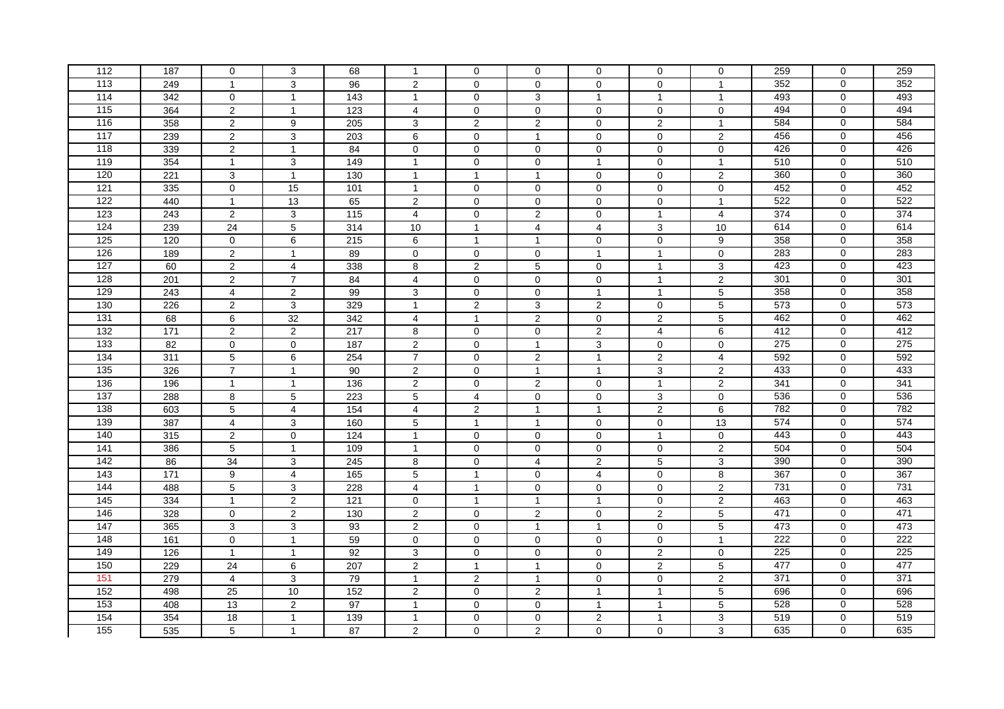| 112        | 187        | 0                                | 3                | 68               | $\mathbf{1}$                   | 0                             | 0                | 0                       | 0                             | $\mathbf 0$                 | 259        | 0              | 259 |
|------------|------------|----------------------------------|------------------|------------------|--------------------------------|-------------------------------|------------------|-------------------------|-------------------------------|-----------------------------|------------|----------------|-----|
| 113        |            | $\overline{1}$                   |                  | 96               |                                | $\mathbf 0$                   | $\mathbf 0$      | $\Omega$                | $\Omega$                      | $\overline{1}$              | 352        | $\Omega$       | 352 |
| 114        | 249<br>342 |                                  | $\mathbf{3}$     | $\frac{1}{143}$  | $\overline{2}$<br>$\mathbf{1}$ |                               |                  | $\mathbf{1}$            | $\mathbf{1}$                  |                             | 493        | $\mathbf 0$    | 493 |
|            |            | $\mathbf 0$                      | $\overline{1}$   |                  |                                | $\mathbf 0$                   | 3                |                         |                               | $\mathbf{1}$                |            | $\mathbf 0$    | 494 |
| 115<br>116 | 364        | $\overline{2}$<br>$\overline{2}$ | $\overline{1}$   | 123<br>205       | 4<br>3                         | $\mathbf 0$<br>$\overline{2}$ | $\mathbf 0$<br>2 | $\mathbf 0$<br>$\Omega$ | $\mathbf 0$<br>$\overline{2}$ | $\mathbf 0$<br>$\mathbf{1}$ | 494<br>584 | $\mathbf 0$    | 584 |
| 117        | 358        |                                  | 9                |                  |                                |                               |                  |                         |                               |                             |            | $\Omega$       | 456 |
|            | 239        | 2                                | 3                | 203              | 6                              | $\mathbf 0$                   | $\mathbf{1}$     | $\Omega$                | $\Omega$                      | $\overline{2}$              | 456        |                |     |
| 118        | 339        | $\sqrt{2}$                       | $\overline{1}$   | 84               | 0                              | $\mathbf 0$                   | $\mathbf 0$      | $\mathbf 0$             | 0                             | $\mathbf 0$                 | 426        | $\Omega$       | 426 |
| 119        | 354        | $\mathbf{1}$                     | 3                | 149              | $\mathbf{1}$                   | $\pmb{0}$                     | 0                | $\overline{1}$          | $\mathbf 0$                   | $\mathbf{1}$                | 510        | $\overline{0}$ | 510 |
| 120        | 221        | $\mathbf{3}$                     | $\overline{1}$   | 130              | $\mathbf{1}$                   | $\mathbf{1}$                  | $\mathbf{1}$     | $\mathbf 0$             | $\mathbf 0$                   | $\overline{2}$              | 360        | $\mathbf 0$    | 360 |
| 121        | 335        | $\mathbf 0$                      | 15               | 101              | $\mathbf{1}$                   | 0                             | $\mathbf 0$      | $\mathbf 0$             | 0                             | 0                           | 452        | $\mathbf 0$    | 452 |
| 122        | 440        | $\mathbf{1}$                     | 13               | 65               | $\overline{2}$                 | $\Omega$                      | $\Omega$         | $\Omega$                | 0                             | $\mathbf{1}$                | 522        | $\mathbf 0$    | 522 |
| 123        | 243        | 2                                | 3                | 115              | 4                              | $\mathbf 0$                   | 2                | $\Omega$                | $\mathbf{1}$                  | 4                           | 374        | $\mathbf 0$    | 374 |
| 124        | 239        | 24                               | 5                | 314              | 10                             | $\mathbf{1}$                  | 4                | $\overline{4}$          | 3                             | 10                          | 614        | $\Omega$       | 614 |
| 125        | 120        | $\mathbf 0$                      | 6                | 215              | 6                              | $\mathbf{1}$                  | $\mathbf{1}$     | $\mathbf 0$             | 0                             | 9                           | 358        | $\Omega$       | 358 |
| 126        | 189        | $\overline{2}$                   | $\overline{1}$   | 89               | 0                              | $\mathbf 0$                   | $\mathbf 0$      | $\overline{1}$          | $\mathbf{1}$                  | $\mathbf 0$                 | 283        | $\overline{0}$ | 283 |
| 127        | 60         | $\overline{2}$                   | 4                | 338              | 8                              | $\overline{2}$                | 5                | $\mathbf 0$             | $\mathbf{1}$                  | 3                           | 423        | 0              | 423 |
| 128        | 201        | 2                                | $\overline{7}$   | 84               | 4                              | 0                             | 0                | $\mathbf 0$             | $\mathbf{1}$                  | $\overline{2}$              | 301        | $\mathbf 0$    | 301 |
| 129        | 243        | $\overline{4}$                   | $\overline{2}$   | 99               | 3                              | $\mathbf 0$                   | $\mathbf 0$      | $\overline{1}$          | $\mathbf{1}$                  | 5                           | 358        | $\Omega$       | 358 |
| 130        | 226        | $\overline{2}$                   | 3                | 329              | $\mathbf{1}$                   | $\overline{2}$                | 3                | $\overline{2}$          | $\mathbf{0}$                  | 5                           | 573        | $\Omega$       | 573 |
| 131        | 68         | 6                                | 32               | 342              | 4                              | $\mathbf{1}$                  | 2                | $\mathbf 0$             | $\overline{2}$                | 5                           | 462        | $\mathbf 0$    | 462 |
| 132        | 171        | $\overline{2}$                   | $\overline{2}$   | 217              | 8                              | $\mathbf 0$                   | $\pmb{0}$        | $\overline{2}$          | $\overline{\mathbf{4}}$       | 6                           | 412        | $\Omega$       | 412 |
| 133        | 82         | $\mathbf 0$                      | $\mathbf 0$      | 187              | $\overline{2}$                 | $\mathbf 0$                   | $\mathbf{1}$     | 3                       | $\mathbf{0}$                  | $\mathbf 0$                 | 275        | $\mathbf 0$    | 275 |
| 134        | 311        | $\,$ 5 $\,$                      | 6                | 254              | $\overline{7}$                 | $\mathbf 0$                   | 2                | $\mathbf{1}$            | $\overline{c}$                | $\overline{4}$              | 592        | $\mathbf 0$    | 592 |
| 135        | 326        | $\overline{7}$                   | $\overline{1}$   | 90               | $\overline{2}$                 | $\mathbf 0$                   | $\mathbf{1}$     | $\mathbf{1}$            | 3                             | $\overline{2}$              | 433        | $\mathbf 0$    | 433 |
| 136        | 196        | $\mathbf{1}$                     | $\overline{1}$   | 136              | $\overline{2}$                 | $\mathbf 0$                   | $\overline{2}$   | $\Omega$                | $\mathbf{1}$                  | $\overline{2}$              | 341        | $\mathbf 0$    | 341 |
| 137        | 288        | 8                                | 5                | 223              | 5                              | 4                             | $\mathbf 0$      | 0                       | 3                             | $\mathbf 0$                 | 536        | $\mathbf 0$    | 536 |
| 138        | 603        | 5                                | $\overline{4}$   | 154              | $\overline{4}$                 | 2                             | $\mathbf{1}$     | $\overline{1}$          | $\overline{2}$                | 6                           | 782        | $\mathbf 0$    | 782 |
| 139        | 387        | $\overline{4}$                   | 3                | 160              | $\overline{5}$                 | $\mathbf{1}$                  | $\mathbf{1}$     | $\Omega$                | 0                             | 13                          | 574        | $\mathbf 0$    | 574 |
| 140        | 315        | $\overline{c}$                   | $\mathbf 0$      | 124              | $\mathbf{1}$                   | 0                             | 0                | $\mathbf 0$             | $\mathbf{1}$                  | $\mathbf 0$                 | 443        | $\Omega$       | 443 |
| 141        | 386        | $\,$ 5 $\,$                      | $\overline{1}$   | 109              | $\mathbf{1}$                   | $\mathbf 0$                   | $\mathbf 0$      | $\mathbf 0$             | $\mathbf{0}$                  | $\overline{2}$              | 504        | $\mathbf 0$    | 504 |
| 142        | 86         | 34                               | $\mathbf{3}$     | 245              | $\overline{8}$                 | $\mathbf 0$                   | $\overline{4}$   | $\overline{2}$          | $\overline{5}$                | $\overline{3}$              | 390        | $\overline{0}$ | 390 |
| 143        | 171        | 9                                | 4                | 165              | 5                              | $\mathbf{1}$                  | 0                | $\overline{4}$          | $\mathbf 0$                   | 8                           | 367        | $\mathbf 0$    | 367 |
| 144        | 488        | 5                                | 3                | 228              | 4                              | $\mathbf{1}$                  | 0                | $\mathbf 0$             | 0                             | $\overline{2}$              | 731        | $\mathbf 0$    | 731 |
| 145        | 334        | $\mathbf{1}$                     | $\overline{2}$   | $\overline{121}$ | 0                              | $\overline{1}$                | $\overline{1}$   | $\overline{1}$          | 0                             | $\overline{2}$              | 463        | $\mathbf 0$    | 463 |
| 146        | 328        | $\mathbf 0$                      | $\mathbf 2$      | 130              | $\overline{2}$                 | $\Omega$                      | $\overline{2}$   | $\Omega$                | $\overline{2}$                | 5                           | 471        | $\Omega$       | 471 |
| 147        | 365        | 3                                | 3                | 93               | $\overline{c}$                 | 0                             | $\mathbf{1}$     | $\mathbf{1}$            | 0                             | 5                           | 473        | $\mathbf 0$    | 473 |
| 148        | 161        | $\mathbf 0$                      | $\overline{1}$   | 59               | 0                              | $\mathbf 0$                   | $\mathbf 0$      | $\mathbf 0$             | $\mathbf 0$                   | $\mathbf{1}$                | 222        | $\mathbf{0}$   | 222 |
| 149        | 126        | $\mathbf{1}$                     | $\overline{1}$   | 92               | 3                              | $\mathbf 0$                   | $\mathbf 0$      | $\mathbf 0$             | $\overline{2}$                | $\mathsf{O}$                | 225        | $\mathbf 0$    | 225 |
| 150        | 229        | 24                               | 6                | 207              | $\overline{2}$                 | $\mathbf{1}$                  | $\mathbf{1}$     | $\mathbf 0$             | $\overline{c}$                | 5                           | 477        | 0              | 477 |
| 151        | 279        | $\overline{4}$                   | 3                | 79               | $\mathbf{1}$                   | $\mathbf{2}$                  | $\mathbf{1}$     | $\mathbf 0$             | 0                             | $\overline{2}$              | 371        | $\mathbf 0$    | 371 |
| 152        | 498        | 25                               | 10               | 152              | $\overline{2}$                 | $\mathbf 0$                   | $\overline{2}$   | $\mathbf{1}$            | $\mathbf{1}$                  | 5                           | 696        | $\mathbf 0$    | 696 |
| 153        | 408        | 13                               | $\boldsymbol{2}$ | 97               | $\mathbf{1}$                   | 0                             | 0                | $\mathbf{1}$            | $\mathbf{1}$                  | 5                           | 528        | $\mathbf 0$    | 528 |
| 154        | 354        | 18                               | $\mathbf{1}$     | 139              | $\mathbf{1}$                   | $\mathbf 0$                   | $\Omega$         | $\mathbf{2}$            | $\mathbf{1}$                  | 3                           | 519        | $\Omega$       | 519 |
| 155        | 535        | $\overline{5}$                   | $\mathbf{1}$     | $\overline{87}$  | $\overline{2}$                 | $\mathbf 0$                   | $\overline{2}$   | $\mathbf 0$             | $\mathbf 0$                   | 3                           | 635        | $\mathbf 0$    | 635 |
|            |            |                                  |                  |                  |                                |                               |                  |                         |                               |                             |            |                |     |